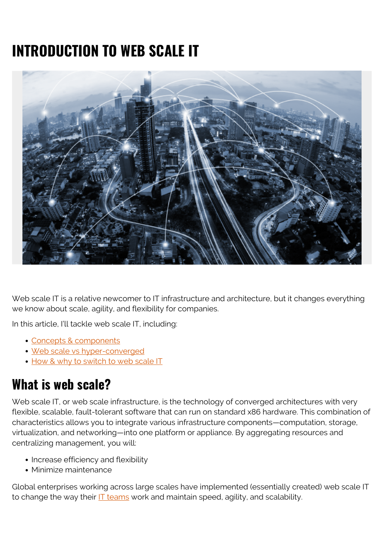# **INTRODUCTION TO WEB SCALE IT**



Web scale IT is a relative newcomer to IT infrastructure and architecture, but it changes everything we know about scale, agility, and flexibility for companies.

In this article, I'll tackle web scale IT, including:

- [Concepts & components](#page--1-0)
- [Web scale vs hyper-converged](#page--1-0)
- [How & why to switch to web scale IT](#page--1-0)

### **What is web scale?**

Web scale IT, or web scale infrastructure, is the technology of converged architectures with very flexible, scalable, fault-tolerant software that can run on standard x86 hardware. This combination of characteristics allows you to integrate various infrastructure components—computation, storage, virtualization, and networking—into one platform or appliance. By aggregating resources and centralizing management, you will:

- Increase efficiency and flexibility
- Minimize maintenance

Global enterprises working across large scales have implemented (essentially created) web scale IT to change the way their  $IT$  teams work and maintain speed, agility, and scalability.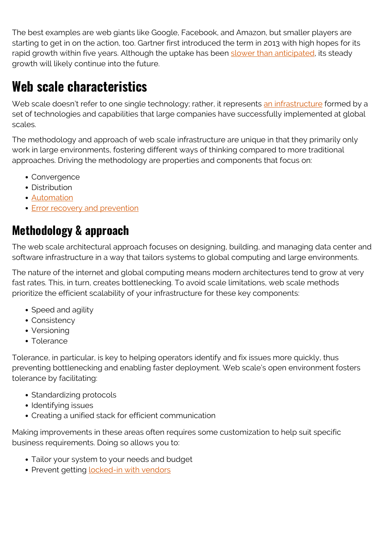The best examples are web giants like Google, Facebook, and Amazon, but smaller players are starting to get in on the action, too. Gartner first introduced the term in 2013 with high hopes for its rapid growth within five years. Although the uptake has been [slower than anticipated,](https://www.gartner.com/en/newsroom/press-releases/2014-03-05-gartner-says-by-2017-web-scale-it-will-be-an-architectural-approach-found-operating-in-50-percent-of-global-enterprises#:~:text=March%205%2C%202014-,Gartner%20Says%20By%202017%20Web%2DScale%20IT%20Will%20Be%20an,%2C%20according%20to%20Gartner%2C%20Inc.) its steady growth will likely continue into the future.

## **Web scale characteristics**

Web scale doesn't refer to one single technology; rather, it represents [an infrastructure](https://www.bmc.com/blogs/what-is-it-infrastructure-and-what-are-its-components/) formed by a set of technologies and capabilities that large companies have successfully implemented at global scales.

The methodology and approach of web scale infrastructure are unique in that they primarily only work in large environments, fostering different ways of thinking compared to more traditional approaches. Driving the methodology are properties and components that focus on:

- Convergence
- Distribution
- [Automation](https://blogs.bmc.com/blogs/it-orchestration-vs-automation-whats-the-difference/)
- [Error recovery and prevention](https://blogs.bmc.com/blogs/error-budgets/)

#### **Methodology & approach**

The web scale architectural approach focuses on designing, building, and managing data center and software infrastructure in a way that tailors systems to global computing and large environments.

The nature of the internet and global computing means modern architectures tend to grow at very fast rates. This, in turn, creates bottlenecking. To avoid scale limitations, web scale methods prioritize the efficient scalability of your infrastructure for these key components:

- Speed and agility
- Consistency
- Versioning
- Tolerance

Tolerance, in particular, is key to helping operators identify and fix issues more quickly, thus preventing bottlenecking and enabling faster deployment. Web scale's open environment fosters tolerance by facilitating:

- Standardizing protocols
- Identifying issues
- Creating a unified stack for efficient communication

Making improvements in these areas often requires some customization to help suit specific business requirements. Doing so allows you to:

- Tailor your system to your needs and budget
- Prevent getting **[locked-in with vendors](https://blogs.bmc.com/blogs/vendor-lock-in/)**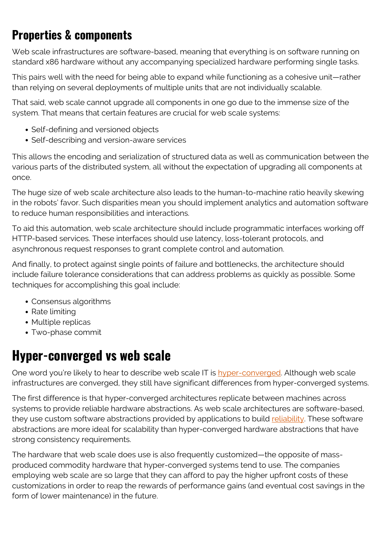### **Properties & components**

Web scale infrastructures are software-based, meaning that everything is on software running on standard x86 hardware without any accompanying specialized hardware performing single tasks.

This pairs well with the need for being able to expand while functioning as a cohesive unit—rather than relying on several deployments of multiple units that are not individually scalable.

That said, web scale cannot upgrade all components in one go due to the immense size of the system. That means that certain features are crucial for web scale systems:

- Self-defining and versioned objects
- Self-describing and version-aware services

This allows the encoding and serialization of structured data as well as communication between the various parts of the distributed system, all without the expectation of upgrading all components at once.

The huge size of web scale architecture also leads to the human-to-machine ratio heavily skewing in the robots' favor. Such disparities mean you should implement analytics and automation software to reduce human responsibilities and interactions.

To aid this automation, web scale architecture should include programmatic interfaces working off HTTP-based services. These interfaces should use latency, loss-tolerant protocols, and asynchronous request responses to grant complete control and automation.

And finally, to protect against single points of failure and bottlenecks, the architecture should include failure tolerance considerations that can address problems as quickly as possible. Some techniques for accomplishing this goal include:

- Consensus algorithms
- Rate limiting
- Multiple replicas
- Two-phase commit

#### **Hyper-converged vs web scale**

One word you're likely to hear to describe web scale IT is [hyper-converged.](https://blogs.bmc.com/blogs/hyper-converged-infrastructure/) Although web scale infrastructures are converged, they still have significant differences from hyper-converged systems.

The first difference is that hyper-converged architectures replicate between machines across systems to provide reliable hardware abstractions. As web scale architectures are software-based, they use custom software abstractions provided by applications to build [reliability.](https://www.bmc.com/blogs/reliability-vs-availability/) These software abstractions are more ideal for scalability than hyper-converged hardware abstractions that have strong consistency requirements.

The hardware that web scale does use is also frequently customized—the opposite of massproduced commodity hardware that hyper-converged systems tend to use. The companies employing web scale are so large that they can afford to pay the higher upfront costs of these customizations in order to reap the rewards of performance gains (and eventual cost savings in the form of lower maintenance) in the future.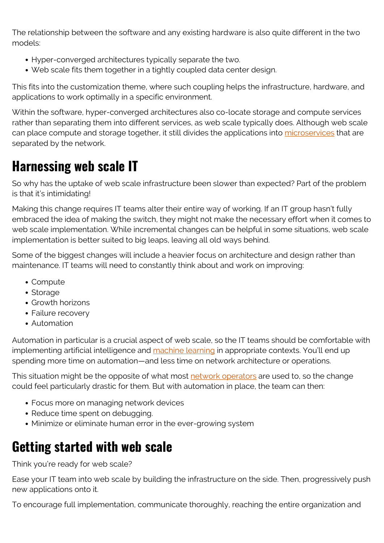The relationship between the software and any existing hardware is also quite different in the two models:

- Hyper-converged architectures typically separate the two.
- Web scale fits them together in a tightly coupled data center design.

This fits into the customization theme, where such coupling helps the infrastructure, hardware, and applications to work optimally in a specific environment.

Within the software, hyper-converged architectures also co-locate storage and compute services rather than separating them into different services, as web scale typically does. Although web scale can place compute and storage together, it still divides the applications into [microservices](https://www.bmc.com/blogs/microservices-vs-soa-whats-difference/) that are separated by the network.

### **Harnessing web scale IT**

So why has the uptake of web scale infrastructure been slower than expected? Part of the problem is that it's intimidating!

Making this change requires IT teams alter their entire way of working. If an IT group hasn't fully embraced the idea of making the switch, they might not make the necessary effort when it comes to web scale implementation. While incremental changes can be helpful in some situations, web scale implementation is better suited to big leaps, leaving all old ways behind.

Some of the biggest changes will include a heavier focus on architecture and design rather than maintenance. IT teams will need to constantly think about and work on improving:

- Compute
- Storage
- Growth horizons
- Failure recovery
- Automation

Automation in particular is a crucial aspect of web scale, so the IT teams should be comfortable with implementing artificial intelligence and [machine learning](https://blogs.bmc.com/blogs/machine-learning-hype-vs-reality/) in appropriate contexts. You'll end up spending more time on automation—and less time on network architecture or operations.

This situation might be the opposite of what most [network operators](https://blogs.bmc.com/blogs/noc-engineer/) are used to, so the change could feel particularly drastic for them. But with automation in place, the team can then:

- Focus more on managing network devices
- Reduce time spent on debugging.
- Minimize or eliminate human error in the ever-growing system

## **Getting started with web scale**

Think you're ready for web scale?

Ease your IT team into web scale by building the infrastructure on the side. Then, progressively push new applications onto it.

To encourage full implementation, communicate thoroughly, reaching the entire organization and